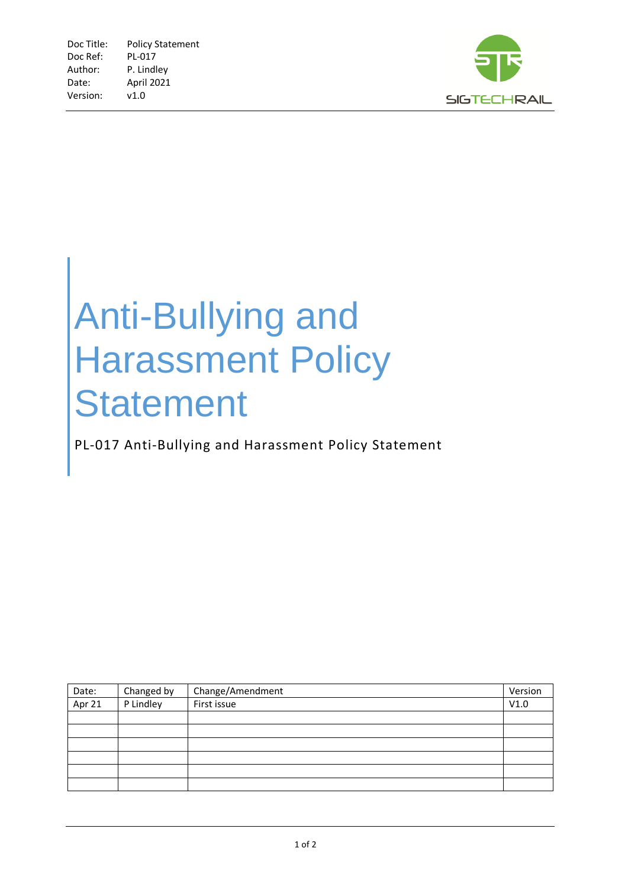

## Anti-Bullying and Harassment Policy **Statement**

PL-017 Anti-Bullying and Harassment Policy Statement

| Date:  | Changed by | Change/Amendment | Version |
|--------|------------|------------------|---------|
| Apr 21 | P Lindley  | First issue      | V1.0    |
|        |            |                  |         |
|        |            |                  |         |
|        |            |                  |         |
|        |            |                  |         |
|        |            |                  |         |
|        |            |                  |         |